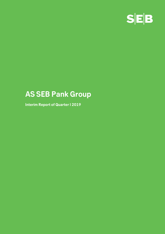

# **AS SEB Pank Group**

**Interim Report of Quarter I 2019**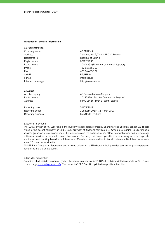#### **Introduction - general information**

1. Credit institution Company name and a set of the AS SEB Pank Registered in Republic of Estonia Registry date 08/12/1995 Phone  $+3726655100$ Fax  $+3726655102$ SWIFT EEUHEE2X e-mail info@seb.ee Internet homepage http://www.seb.ee

2. Auditor

Reporting date 31/03/2019

Address Tornimäe Str. 2, Tallinn 15010, Estonia Registry code 10004252 (Estonian Commercial Register)

Audit company and a series are a series of AS PricewaterhouseCoopers Registry code 10142876 (Estonian Commercial Register) Address Pärnu Str. 15, 10141 Tallinn, Estonia

Reporting period **1** January 2019 - 31 March 2019 Reporting currency **EUR**), millions

#### 3. General information

The 100% owner of AS SEB Pank is the publicly traded parent company Skandinaviska Enskilda Banken AB (publ), which is the parent company of SEB Group, provider of financial services. SEB Group is a leading Nordic financial services group. As a relationship bank, SEB in Sweden and the Baltic countries offers financial advice and a wide range of financial services. In Denmark, Finland, Norway and Germany, the bank's operations have a strong focus on corporate and investment banking based on a full-service offered corporate and institutional customers. Bank has presence in about 20 countries worldwide.

AS SEB Pank Group is an Estonian financial group belonging to SEB Group, which provides services to private persons, companies and the public sector.

4. Basis for preparation

Skandinaviska Enskilda Banken AB (publ), the parent company of AS SEB Pank, publishes interim reports for SEB Group on web page www.sebgroup.com/ir. The present AS SEB Pank Group interim report is not audited.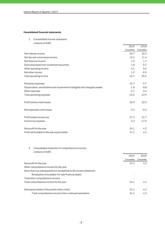## **Consolidated financial statements**

1. Consolidated income statement

| (millions of EUR)                                                           |          |               |
|-----------------------------------------------------------------------------|----------|---------------|
|                                                                             | 2019     | 2018          |
|                                                                             | 3 months | 3 months      |
| Net interest income                                                         | 26.7     | 23.3          |
| Net fee and commission income                                               | 12.2     | 11.4          |
| Net financial income                                                        | 1.3      | 1.7           |
| Gains less losses from investment securities                                | 1.8      | $-0.7$        |
| Other operating income                                                      | 0.1      | 0.2           |
| Net other income                                                            | 1.9      | $-0.5$        |
| Total operating income                                                      | 42.1     | 35.9          |
|                                                                             |          |               |
| Personnel expenses                                                          | $-10.7$  | $-9.7$        |
| Depreciation, amortization and impairment of tangible and intangible assets | $-1.8$   | $-0.8$        |
| Other expenses                                                              | $-2.7$   | $-3.4$        |
| Total operating expenses                                                    | $-15.2$  | $-13.9$       |
|                                                                             |          |               |
| Profit before credit losses                                                 | 26.9     | 22.0          |
|                                                                             |          |               |
| Net expected credit losses                                                  | 0.4      | $-0.3$        |
|                                                                             |          |               |
| Profit before income tax                                                    | 27.3     | 21.7          |
| Income tax expense                                                          | $-3.2$   | $-17.5$       |
|                                                                             |          |               |
| Net profit for the year                                                     | 24.1     | $4.2^{\circ}$ |
| Profit attributable to the sole equity holder                               | 24.1     | 4.2           |
|                                                                             |          |               |

## 2. Consolidated statement of comprehensive income (millions of EUR)

|                                                                      | 2019 | 2018              |
|----------------------------------------------------------------------|------|-------------------|
|                                                                      |      | 3 months 3 months |
| Net profit for the year                                              | 24.1 | $4.2^{\circ}$     |
| Other comprehensive income for the year                              |      |                   |
| Items that may subsequently be reclassified to the income statement: |      |                   |
| Revaluation of available-for-sale financial assets                   |      |                   |
| Total other comprehensive income                                     |      |                   |
| Total comprehensive income for the year                              | 24.1 | 4.2               |
| Sole equity holder of the parent entity (total)                      | 24.1 | 4.2               |
| Total comprehensive income from continued operations                 | 24.1 | 4.2               |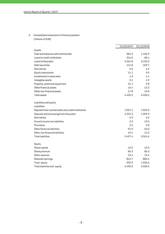3. Consolidated statement of financial position (millions of EUR)

|                                                     | 31/03/2019 | 31/12/2018 |
|-----------------------------------------------------|------------|------------|
| Assets                                              |            |            |
| Cash and balances with central bank                 | 581.9      | 1156.9     |
| Loans to credit institutions                        | 316.5      | 80.4       |
| Loans to the public                                 | 5361.8     | 5153.3     |
| Debt securities                                     | 141.8      | 109.7      |
| Derivatives                                         | 6.5        | 6.6        |
| Equity instruments                                  | 11.1       | 9.9        |
| Investments in associates                           | 1.3        | 1.4        |
| Intangible assets                                   | 5.1        | 4.9        |
| Property, plant and equipment                       | 31.1       | 9.8        |
| Other financial assets                              | 15.4       | 12.3       |
| Other non-financial assets                          | 17.8       | 13.0       |
| <b>Total assets</b>                                 | 6490.3     | 6558.2     |
| Liabilities and equity                              |            |            |
| Liabilities                                         |            |            |
| Deposits from central banks and credit institutions | 1027.1     | 1022.0     |
| Deposits and borrowings from the public             | 4322.2     | 4399.9     |
| Derivatives                                         | 6.3        | 6.2        |
| Current income tax liabilities                      | 3.2        | 10.5       |
| Provisions                                          | 2.5        | 5.8        |
| Other financial liabilities                         | 91.0       | 66.0       |
| Other non-financial liabilities                     | 45.1       | 14.2       |
| <b>Total liabilities</b>                            | 5497.4     | 5524.6     |
| Equity                                              |            |            |
| Share capital                                       | 42.5       | 42.5       |
| Share premium                                       | 86.3       | 86.3       |
| Other reserves                                      | 19.4       | 19.4       |
| Retained earnings                                   | 844.7      | 885.4      |
| Total equity                                        | 992.9      | 1033.6     |
| Total liabilities and equity                        | 6490.3     | 6558.2     |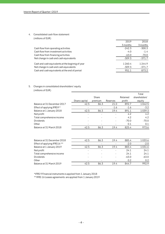## 4. Consolidated cash flow statement

| (millions of EUR) |  |
|-------------------|--|
|-------------------|--|

|                                                                                              | 2019                  | 2018               |
|----------------------------------------------------------------------------------------------|-----------------------|--------------------|
|                                                                                              | 3 months              | 3 months           |
| Cash flow from operating activities                                                          | $-242.3$              | $-300.3$           |
| Cash flow from investment activities                                                         | $-4.0$                | $-1.4$             |
| Cash flow from financing activities                                                          | $-63.0$               | $-70.0$            |
| Net change in cash and cash equivalents                                                      | $-309.3$              | $-371.7$           |
| Cash and cash equivalents at the beginnig of year<br>Net change in cash and cash equivalents | 1 2 6 0.4<br>$-309.3$ | 1244.9<br>$-371.7$ |
| Cash and cash equivalents at the end of period                                               | 951.1                 | 873.2              |

## 5. Changes in consolidated shareholders' equity (millions of EUR)

|                             |               |         |          |          | Total         |
|-----------------------------|---------------|---------|----------|----------|---------------|
|                             |               | Share   |          | Retained | shareholders' |
|                             | Share capital | premium | Reserves | profit   | equity        |
| Balance at 31 December 2017 | 42.5          | 86.3    | 21.0     | 892.7    | 1042.5        |
| Effect of applying IFRS9 *  |               |         | $-1.6$   | $-1.6$   | $-3.2$        |
| Balance at 1 January 2018   | 42.5          | 86.3    | 19.4     | 891.1    | 1039.3        |
| Net profit                  |               |         |          | 4.2      | 4.2           |
| Total comprehensive income  |               |         |          | 4.2      | 4.2           |
| Dividends                   |               |         |          | $-70.0$  | $-70.0$       |
| Other                       |               |         |          | 0.1      | 0.1           |
| Balance at 31 March 2018    | 42.5          | 86.3    | 19.4     | 825.4    | 973.6         |
|                             |               |         |          |          |               |

| Balance at 31 December 2018  | 42.5 | 86.3 | 19.4 | 885.4   | 1033.6  |
|------------------------------|------|------|------|---------|---------|
| Effect of applying IFRS16 ** |      |      |      | $-2.0$  | $-2.0$  |
| Balance at 1 January 2019    | 42.5 | 86.3 | 19.4 | 883.4   | 1031.6  |
| Net profit                   |      |      | ٠    | 24.1    | 24.1    |
| Total comprehensive income   |      |      |      | 24.1    | 24.1    |
| <b>Dividends</b>             |      |      |      | $-63.0$ | $-63.0$ |
| Other                        |      |      |      | 0.2     | 0.2     |
| Balance at 31 March 2019     | 42.5 | 86.3 | 19.4 | 844.7   | 992.9   |

\*IFRS 9 Financial instruments is applied from 1 January 2018

\*\*IFRS 16 Leases agreements are applied from 1 January 2019